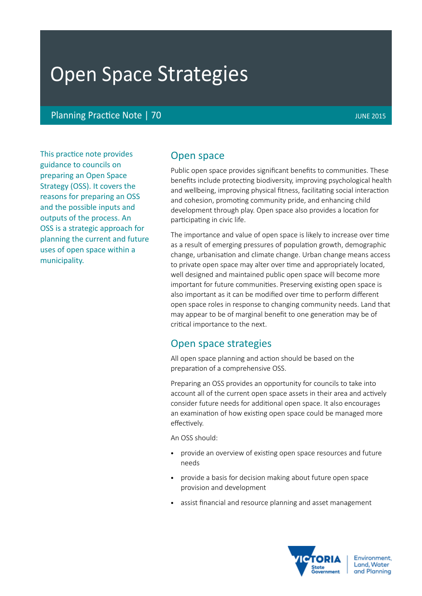# Open Space Strategies

Planning Practice Note | 70 JUNE 2015

This practice note provides guidance to councils on preparing an Open Space Strategy (OSS). It covers the reasons for preparing an OSS and the possible inputs and outputs of the process. An OSS is a strategic approach for planning the current and future uses of open space within a municipality.

# Open space

Public open space provides significant benefits to communities. These benefits include protecting biodiversity, improving psychological health and wellbeing, improving physical fitness, facilitating social interaction and cohesion, promoting community pride, and enhancing child development through play. Open space also provides a location for participating in civic life.

The importance and value of open space is likely to increase over time as a result of emerging pressures of population growth, demographic change, urbanisation and climate change. Urban change means access to private open space may alter over time and appropriately located, well designed and maintained public open space will become more important for future communities. Preserving existing open space is also important as it can be modified over time to perform different open space roles in response to changing community needs. Land that may appear to be of marginal benefit to one generation may be of critical importance to the next.

# Open space strategies

All open space planning and action should be based on the preparation of a comprehensive OSS.

Preparing an OSS provides an opportunity for councils to take into account all of the current open space assets in their area and actively consider future needs for additional open space. It also encourages an examination of how existing open space could be managed more effectively.

An OSS should:

- provide an overview of existing open space resources and future needs
- provide a basis for decision making about future open space provision and development
- assist financial and resource planning and asset management

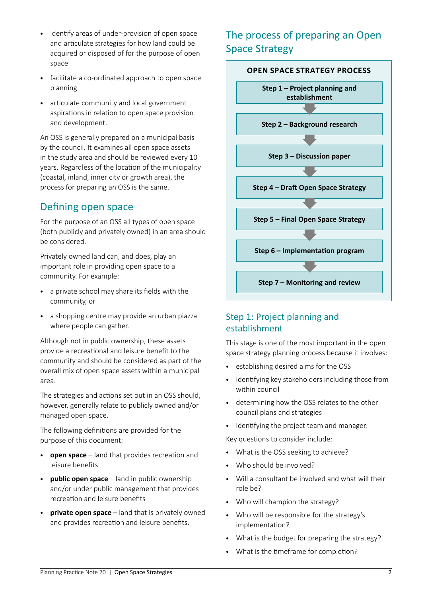- identify areas of under-provision of open space and articulate strategies for how land could be acquired or disposed of for the purpose of open space
- facilitate a co-ordinated approach to open space planning
- articulate community and local government aspirations in relation to open space provision and development.

An OSS is generally prepared on a municipal basis by the council. It examines all open space assets in the study area and should be reviewed every 10 years. Regardless of the location of the municipality (coastal, inland, inner city or growth area), the process for preparing an OSS is the same.

# Defining open space

For the purpose of an OSS all types of open space (both publicly and privately owned) in an area should be considered.

Privately owned land can, and does, play an important role in providing open space to a community. For example:

- • a private school may share its fields with the community, or
- a shopping centre may provide an urban piazza where people can gather.

Although not in public ownership, these assets provide a recreational and leisure benefit to the community and should be considered as part of the overall mix of open space assets within a municipal area.

The strategies and actions set out in an OSS should, however, generally relate to publicly owned and/or managed open space.

The following definitions are provided for the purpose of this document:

- • **open space**  land that provides recreation and leisure benefits
- **public open space** land in public ownership and/or under public management that provides recreation and leisure benefits
- • **private open space** land that is privately owned and provides recreation and leisure benefits.

# The process of preparing an Open Space Strategy



# Step 1: Project planning and establishment

This stage is one of the most important in the open space strategy planning process because it involves:

- • establishing desired aims for the OSS
- • identifying key stakeholders including those from within council
- • determining how the OSS relates to the other council plans and strategies
- identifying the project team and manager.

Key questions to consider include:

- What is the OSS seeking to achieve?
- Who should be involved?
- • Will a consultant be involved and what will their role be?
- Who will champion the strategy?
- • Who will be responsible for the strategy's implementation?
- What is the budget for preparing the strategy?
- • What is the timeframe for completion?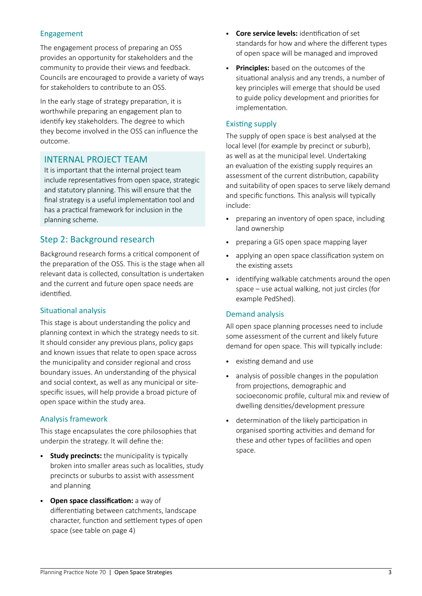### Engagement

The engagement process of preparing an OSS provides an opportunity for stakeholders and the community to provide their views and feedback. Councils are encouraged to provide a variety of ways for stakeholders to contribute to an OSS.

In the early stage of strategy preparation, it is worthwhile preparing an engagement plan to identify key stakeholders. The degree to which they become involved in the OSS can influence the outcome.

# INTERNAL PROJECT TEAM

It is important that the internal project team include representatives from open space, strategic and statutory planning. This will ensure that the final strategy is a useful implementation tool and has a practical framework for inclusion in the planning scheme.

# Step 2: Background research

Background research forms a critical component of the preparation of the OSS. This is the stage when all relevant data is collected, consultation is undertaken and the current and future open space needs are identified.

#### Situational analysis

This stage is about understanding the policy and planning context in which the strategy needs to sit. It should consider any previous plans, policy gaps and known issues that relate to open space across the municipality and consider regional and cross boundary issues. An understanding of the physical and social context, as well as any municipal or sitespecific issues, will help provide a broad picture of open space within the study area.

#### Analysis framework

This stage encapsulates the core philosophies that underpin the strategy. It will define the:

- • **Study precincts:** the municipality is typically broken into smaller areas such as localities, study precincts or suburbs to assist with assessment and planning
- • **Open space classification:** a way of differentiating between catchments, landscape character, function and settlement types of open space (see table on page 4)
- • **Core service levels:** identification of set standards for how and where the different types of open space will be managed and improved
- • **Principles:** based on the outcomes of the situational analysis and any trends, a number of key principles will emerge that should be used to guide policy development and priorities for implementation.

#### Existing supply

The supply of open space is best analysed at the local level (for example by precinct or suburb), as well as at the municipal level. Undertaking an evaluation of the existing supply requires an assessment of the current distribution, capability and suitability of open spaces to serve likely demand and specific functions. This analysis will typically include:

- preparing an inventory of open space, including land ownership
- preparing a GIS open space mapping layer
- • applying an open space classification system on the existing assets
- identifying walkable catchments around the open space – use actual walking, not just circles (for example PedShed).

#### Demand analysis

All open space planning processes need to include some assessment of the current and likely future demand for open space. This will typically include:

- • existing demand and use
- analysis of possible changes in the population from projections, demographic and socioeconomic profile, cultural mix and review of dwelling densities/development pressure
- • determination of the likely participation in organised sporting activities and demand for these and other types of facilities and open space.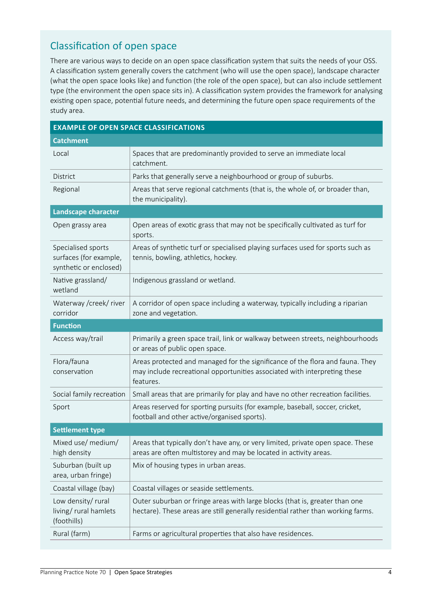# Classification of open space

There are various ways to decide on an open space classification system that suits the needs of your OSS. A classification system generally covers the catchment (who will use the open space), landscape character (what the open space looks like) and function (the role of the open space), but can also include settlement type (the environment the open space sits in). A classification system provides the framework for analysing existing open space, potential future needs, and determining the future open space requirements of the study area.

| <b>EXAMPLE OF OPEN SPACE CLASSIFICATIONS</b>                           |                                                                                                                                                                         |
|------------------------------------------------------------------------|-------------------------------------------------------------------------------------------------------------------------------------------------------------------------|
| <b>Catchment</b>                                                       |                                                                                                                                                                         |
| Local                                                                  | Spaces that are predominantly provided to serve an immediate local<br>catchment.                                                                                        |
| <b>District</b>                                                        | Parks that generally serve a neighbourhood or group of suburbs.                                                                                                         |
| Regional                                                               | Areas that serve regional catchments (that is, the whole of, or broader than,<br>the municipality).                                                                     |
| Landscape character                                                    |                                                                                                                                                                         |
| Open grassy area                                                       | Open areas of exotic grass that may not be specifically cultivated as turf for<br>sports.                                                                               |
| Specialised sports<br>surfaces (for example,<br>synthetic or enclosed) | Areas of synthetic turf or specialised playing surfaces used for sports such as<br>tennis, bowling, athletics, hockey.                                                  |
| Native grassland/<br>wetland                                           | Indigenous grassland or wetland.                                                                                                                                        |
| Waterway /creek/ river<br>corridor                                     | A corridor of open space including a waterway, typically including a riparian<br>zone and vegetation.                                                                   |
| <b>Function</b>                                                        |                                                                                                                                                                         |
| Access way/trail                                                       | Primarily a green space trail, link or walkway between streets, neighbourhoods<br>or areas of public open space.                                                        |
| Flora/fauna<br>conservation                                            | Areas protected and managed for the significance of the flora and fauna. They<br>may include recreational opportunities associated with interpreting these<br>features. |
| Social family recreation                                               | Small areas that are primarily for play and have no other recreation facilities.                                                                                        |
| Sport                                                                  | Areas reserved for sporting pursuits (for example, baseball, soccer, cricket,<br>football and other active/organised sports).                                           |
| <b>Settlement type</b>                                                 |                                                                                                                                                                         |
| Mixed use/ medium/<br>high density                                     | Areas that typically don't have any, or very limited, private open space. These<br>areas are often multistorey and may be located in activity areas.                    |
| Suburban (built up<br>area, urban fringe)                              | Mix of housing types in urban areas.                                                                                                                                    |
| Coastal village (bay)                                                  | Coastal villages or seaside settlements.                                                                                                                                |
| Low density/rural<br>living/rural hamlets<br>(foothills)               | Outer suburban or fringe areas with large blocks (that is, greater than one<br>hectare). These areas are still generally residential rather than working farms.         |
| Rural (farm)                                                           | Farms or agricultural properties that also have residences.                                                                                                             |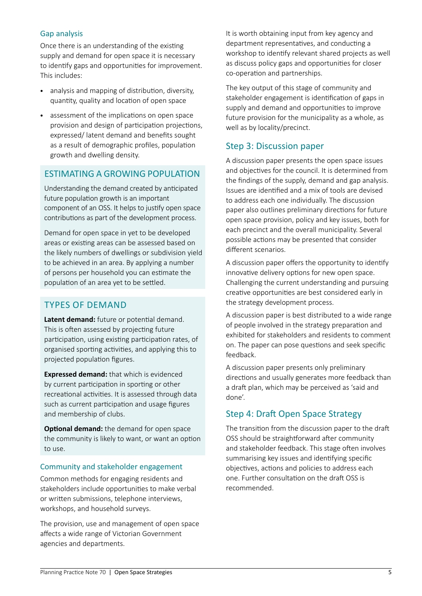#### Gap analysis

Once there is an understanding of the existing supply and demand for open space it is necessary to identify gaps and opportunities for improvement. This includes:

- analysis and mapping of distribution, diversity, quantity, quality and location of open space
- assessment of the implications on open space provision and design of participation projections, expressed/ latent demand and benefits sought as a result of demographic profiles, population growth and dwelling density.

# Estimating a growing population

Understanding the demand created by anticipated future population growth is an important component of an OSS. It helps to justify open space contributions as part of the development process.

Demand for open space in yet to be developed areas or existing areas can be assessed based on the likely numbers of dwellings or subdivision yield to be achieved in an area. By applying a number of persons per household you can estimate the population of an area yet to be settled.

# Types of demand

**Latent demand:** future or potential demand. This is often assessed by projecting future participation, using existing participation rates, of organised sporting activities, and applying this to projected population figures.

**Expressed demand:** that which is evidenced by current participation in sporting or other recreational activities. It is assessed through data such as current participation and usage figures and membership of clubs.

**Optional demand:** the demand for open space the community is likely to want, or want an option to use.

#### Community and stakeholder engagement

Common methods for engaging residents and stakeholders include opportunities to make verbal or written submissions, telephone interviews, workshops, and household surveys.

The provision, use and management of open space affects a wide range of Victorian Government agencies and departments.

It is worth obtaining input from key agency and department representatives, and conducting a workshop to identify relevant shared projects as well as discuss policy gaps and opportunities for closer co-operation and partnerships.

The key output of this stage of community and stakeholder engagement is identification of gaps in supply and demand and opportunities to improve future provision for the municipality as a whole, as well as by locality/precinct.

## Step 3: Discussion paper

A discussion paper presents the open space issues and objectives for the council. It is determined from the findings of the supply, demand and gap analysis. Issues are identified and a mix of tools are devised to address each one individually. The discussion paper also outlines preliminary directions for future open space provision, policy and key issues, both for each precinct and the overall municipality. Several possible actions may be presented that consider different scenarios.

A discussion paper offers the opportunity to identify innovative delivery options for new open space. Challenging the current understanding and pursuing creative opportunities are best considered early in the strategy development process.

A discussion paper is best distributed to a wide range of people involved in the strategy preparation and exhibited for stakeholders and residents to comment on. The paper can pose questions and seek specific feedback.

A discussion paper presents only preliminary directions and usually generates more feedback than a draft plan, which may be perceived as 'said and done'.

# Step 4: Draft Open Space Strategy

The transition from the discussion paper to the draft OSS should be straightforward after community and stakeholder feedback. This stage often involves summarising key issues and identifying specific objectives, actions and policies to address each one. Further consultation on the draft OSS is recommended.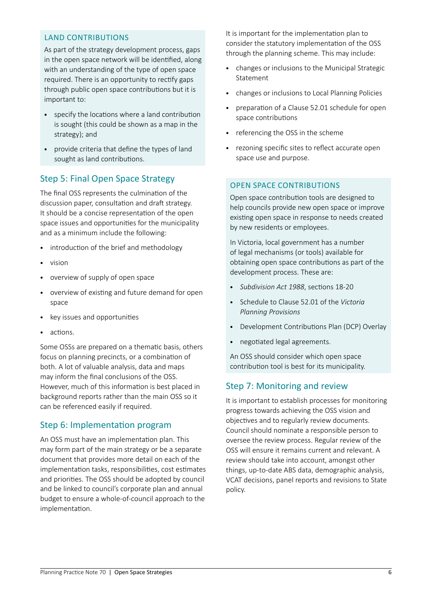### land contributions

As part of the strategy development process, gaps in the open space network will be identified, along with an understanding of the type of open space required. There is an opportunity to rectify gaps through public open space contributions but it is important to:

- specify the locations where a land contribution is sought (this could be shown as a map in the strategy); and
- provide criteria that define the types of land sought as land contributions.

# Step 5: Final Open Space Strategy

The final OSS represents the culmination of the discussion paper, consultation and draft strategy. It should be a concise representation of the open space issues and opportunities for the municipality and as a minimum include the following:

- introduction of the brief and methodology
- vision
- • overview of supply of open space
- • overview of existing and future demand for open space
- key issues and opportunities
- actions.

Some OSSs are prepared on a thematic basis, others focus on planning precincts, or a combination of both. A lot of valuable analysis, data and maps may inform the final conclusions of the OSS. However, much of this information is best placed in background reports rather than the main OSS so it can be referenced easily if required.

# Step 6: Implementation program

An OSS must have an implementation plan. This may form part of the main strategy or be a separate document that provides more detail on each of the implementation tasks, responsibilities, cost estimates and priorities. The OSS should be adopted by council and be linked to council's corporate plan and annual budget to ensure a whole-of-council approach to the implementation.

It is important for the implementation plan to consider the statutory implementation of the OSS through the planning scheme. This may include:

- changes or inclusions to the Municipal Strategic Statement
- changes or inclusions to Local Planning Policies
- preparation of a Clause 52.01 schedule for open space contributions
- referencing the OSS in the scheme
- • rezoning specific sites to reflect accurate open space use and purpose.

## OPEN SPACE CONTRIBUTIONS

Open space contribution tools are designed to help councils provide new open space or improve existing open space in response to needs created by new residents or employees.

In Victoria, local government has a number of legal mechanisms (or tools) available for obtaining open space contributions as part of the development process. These are:

- • *Subdivision Act 1988*, sections 18-20
- Schedule to Clause 52.01 of the Victoria *Planning Provisions*
- • Development Contributions Plan (DCP) Overlay
- • negotiated legal agreements.

An OSS should consider which open space contribution tool is best for its municipality.

# Step 7: Monitoring and review

It is important to establish processes for monitoring progress towards achieving the OSS vision and objectives and to regularly review documents. Council should nominate a responsible person to oversee the review process. Regular review of the OSS will ensure it remains current and relevant. A review should take into account, amongst other things, up-to-date ABS data, demographic analysis, VCAT decisions, panel reports and revisions to State policy.